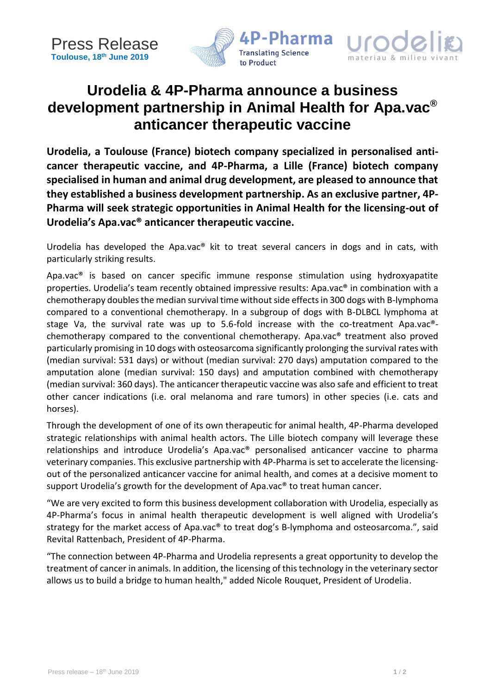



# **Urodelia & 4P-Pharma announce a business development partnership in Animal Health for Apa.vac® anticancer therapeutic vaccine**

**Urodelia, a Toulouse (France) biotech company specialized in personalised anticancer therapeutic vaccine, and 4P-Pharma, a Lille (France) biotech company specialised in human and animal drug development, are pleased to announce that they established a business development partnership. As an exclusive partner, 4P-Pharma will seek strategic opportunities in Animal Health for the licensing-out of Urodelia's Apa.vac® anticancer therapeutic vaccine.**

Urodelia has developed the Apa.vac® kit to treat several cancers in dogs and in cats, with particularly striking results.

Apa.vac® is based on cancer specific immune response stimulation using hydroxyapatite properties. Urodelia's team recently obtained impressive results: Apa.vac® in combination with a chemotherapy doubles the median survival time without side effects in 300 dogs with B-lymphoma compared to a conventional chemotherapy. In a subgroup of dogs with B-DLBCL lymphoma at stage Va, the survival rate was up to 5.6-fold increase with the co-treatment Apa.vac® chemotherapy compared to the conventional chemotherapy. Apa.vac® treatment also proved particularly promising in 10 dogs with osteosarcoma significantly prolonging the survival rates with (median survival: 531 days) or without (median survival: 270 days) amputation compared to the amputation alone (median survival: 150 days) and amputation combined with chemotherapy (median survival: 360 days). The anticancer therapeutic vaccine was also safe and efficient to treat other cancer indications (i.e. oral melanoma and rare tumors) in other species (i.e. cats and horses).

Through the development of one of its own therapeutic for animal health, 4P-Pharma developed strategic relationships with animal health actors. The Lille biotech company will leverage these relationships and introduce Urodelia's Apa.vac® personalised anticancer vaccine to pharma veterinary companies. This exclusive partnership with 4P-Pharma is set to accelerate the licensingout of the personalized anticancer vaccine for animal health, and comes at a decisive moment to support Urodelia's growth for the development of Apa.vac<sup>®</sup> to treat human cancer.

"We are very excited to form this business development collaboration with Urodelia, especially as 4P-Pharma's focus in animal health therapeutic development is well aligned with Urodelia's strategy for the market access of Apa.vac® to treat dog's B-lymphoma and osteosarcoma.", said Revital Rattenbach, President of 4P-Pharma.

"The connection between 4P-Pharma and Urodelia represents a great opportunity to develop the treatment of cancer in animals. In addition, the licensing of this technology in the veterinary sector allows us to build a bridge to human health," added Nicole Rouquet, President of Urodelia.